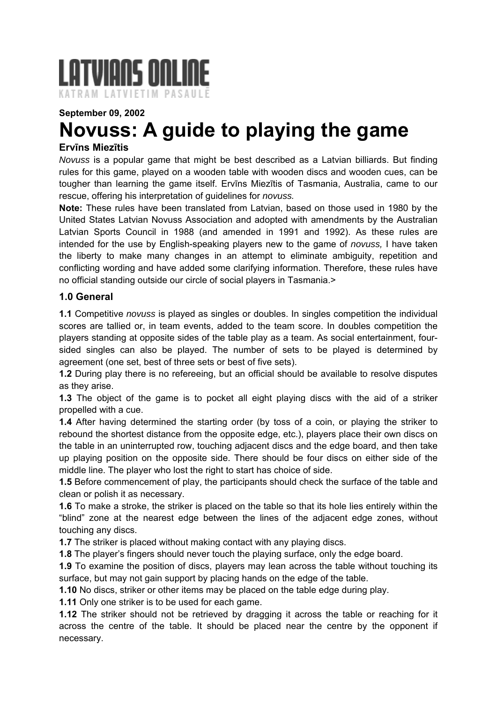

#### **September 09, 2002**

# **Novuss: A guide to playing the game**

### **Ervīns Miezītis**

*Novuss* is a popular game that might be best described as a Latvian billiards. But finding rules for this game, played on a wooden table with wooden discs and wooden cues, can be tougher than learning the game itself. Ervīns Miezītis of Tasmania, Australia, came to our rescue, offering his interpretation of guidelines for *novuss.*

**Note:** These rules have been translated from Latvian, based on those used in 1980 by the United States Latvian Novuss Association and adopted with amendments by the Australian Latvian Sports Council in 1988 (and amended in 1991 and 1992). As these rules are intended for the use by English-speaking players new to the game of *novuss,* I have taken the liberty to make many changes in an attempt to eliminate ambiguity, repetition and conflicting wording and have added some clarifying information. Therefore, these rules have no official standing outside our circle of social players in Tasmania.>

#### **1.0 General**

**1.1** Competitive *novuss* is played as singles or doubles. In singles competition the individual scores are tallied or, in team events, added to the team score. In doubles competition the players standing at opposite sides of the table play as a team. As social entertainment, foursided singles can also be played. The number of sets to be played is determined by agreement (one set, best of three sets or best of five sets).

**1.2** During play there is no refereeing, but an official should be available to resolve disputes as they arise.

**1.3** The object of the game is to pocket all eight playing discs with the aid of a striker propelled with a cue.

**1.4** After having determined the starting order (by toss of a coin, or playing the striker to rebound the shortest distance from the opposite edge, etc.), players place their own discs on the table in an uninterrupted row, touching adjacent discs and the edge board, and then take up playing position on the opposite side. There should be four discs on either side of the middle line. The player who lost the right to start has choice of side.

**1.5** Before commencement of play, the participants should check the surface of the table and clean or polish it as necessary.

**1.6** To make a stroke, the striker is placed on the table so that its hole lies entirely within the "blind" zone at the nearest edge between the lines of the adjacent edge zones, without touching any discs.

**1.7** The striker is placed without making contact with any playing discs.

**1.8** The player's fingers should never touch the playing surface, only the edge board.

**1.9** To examine the position of discs, players may lean across the table without touching its surface, but may not gain support by placing hands on the edge of the table.

**1.10** No discs, striker or other items may be placed on the table edge during play.

**1.11** Only one striker is to be used for each game.

**1.12** The striker should not be retrieved by dragging it across the table or reaching for it across the centre of the table. It should be placed near the centre by the opponent if necessary.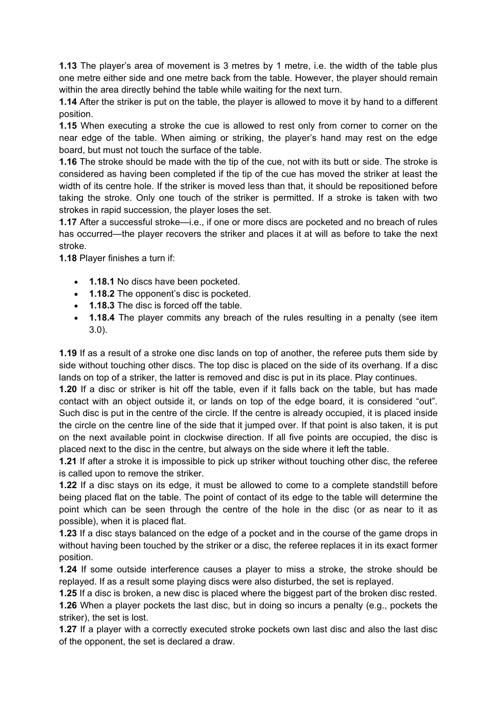**1.13** The player's area of movement is 3 metres by 1 metre, i.e. the width of the table plus one metre either side and one metre back from the table. However, the player should remain within the area directly behind the table while waiting for the next turn.

**1.14** After the striker is put on the table, the player is allowed to move it by hand to a different position.

**1.15** When executing a stroke the cue is allowed to rest only from corner to corner on the near edge of the table. When aiming or striking, the player's hand may rest on the edge board, but must not touch the surface of the table.

**1.16** The stroke should be made with the tip of the cue, not with its butt or side. The stroke is considered as having been completed if the tip of the cue has moved the striker at least the width of its centre hole. If the striker is moved less than that, it should be repositioned before taking the stroke. Only one touch of the striker is permitted. If a stroke is taken with two strokes in rapid succession, the player loses the set.

**1.17** After a successful stroke—i.e., if one or more discs are pocketed and no breach of rules has occurred—the player recovers the striker and places it at will as before to take the next stroke.

**1.18** Player finishes a turn if:

- **1.18.1** No discs have been pocketed.
- **1.18.2** The opponent's disc is pocketed.
- **1.18.3** The disc is forced off the table.
- **1.18.4** The player commits any breach of the rules resulting in a penalty (see item 3.0).

**1.19** If as a result of a stroke one disc lands on top of another, the referee puts them side by side without touching other discs. The top disc is placed on the side of its overhang. If a disc lands on top of a striker, the latter is removed and disc is put in its place. Play continues.

**1.20** If a disc or striker is hit off the table, even if it falls back on the table, but has made contact with an object outside it, or lands on top of the edge board, it is considered "out". Such disc is put in the centre of the circle. If the centre is already occupied, it is placed inside the circle on the centre line of the side that it jumped over. If that point is also taken, it is put on the next available point in clockwise direction. If all five points are occupied, the disc is placed next to the disc in the centre, but always on the side where it left the table.

**1.21** If after a stroke it is impossible to pick up striker without touching other disc, the referee is called upon to remove the striker.

**1.22** If a disc stays on its edge, it must be allowed to come to a complete standstill before being placed flat on the table. The point of contact of its edge to the table will determine the point which can be seen through the centre of the hole in the disc (or as near to it as possible), when it is placed flat.

**1.23** If a disc stays balanced on the edge of a pocket and in the course of the game drops in without having been touched by the striker or a disc, the referee replaces it in its exact former position.

**1.24** If some outside interference causes a player to miss a stroke, the stroke should be replayed. If as a result some playing discs were also disturbed, the set is replayed.

**1.25** If a disc is broken, a new disc is placed where the biggest part of the broken disc rested.

**1.26** When a player pockets the last disc, but in doing so incurs a penalty (e.g., pockets the striker), the set is lost.

**1.27** If a player with a correctly executed stroke pockets own last disc and also the last disc of the opponent, the set is declared a draw.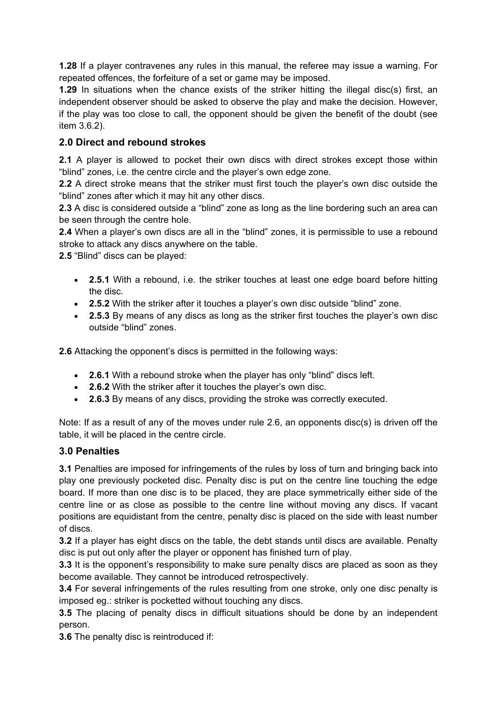**1.28** If a player contravenes any rules in this manual, the referee may issue a warning. For repeated offences, the forfeiture of a set or game may be imposed.

**1.29** In situations when the chance exists of the striker hitting the illegal disc(s) first, an independent observer should be asked to observe the play and make the decision. However, if the play was too close to call, the opponent should be given the benefit of the doubt (see item 3.6.2).

## **2.0 Direct and rebound strokes**

**2.1** A player is allowed to pocket their own discs with direct strokes except those within "blind" zones, i.e. the centre circle and the player's own edge zone.

**2.2** A direct stroke means that the striker must first touch the player's own disc outside the "blind" zones after which it may hit any other discs.

**2.3** A disc is considered outside a "blind" zone as long as the line bordering such an area can be seen through the centre hole.

**2.4** When a player's own discs are all in the "blind" zones, it is permissible to use a rebound stroke to attack any discs anywhere on the table.

**2.5** "Blind" discs can be played:

- **2.5.1** With a rebound, i.e. the striker touches at least one edge board before hitting the disc.
- **2.5.2** With the striker after it touches a player's own disc outside "blind" zone.
- **2.5.3** By means of any discs as long as the striker first touches the player's own disc outside "blind" zones.

**2.6** Attacking the opponent's discs is permitted in the following ways:

- **2.6.1** With a rebound stroke when the player has only "blind" discs left.
- **2.6.2** With the striker after it touches the player's own disc.
- **2.6.3** By means of any discs, providing the stroke was correctly executed.

Note: If as a result of any of the moves under rule 2.6, an opponents disc(s) is driven off the table, it will be placed in the centre circle.

#### **3.0 Penalties**

**3.1** Penalties are imposed for infringements of the rules by loss of turn and bringing back into play one previously pocketed disc. Penalty disc is put on the centre line touching the edge board. If more than one disc is to be placed, they are place symmetrically either side of the centre line or as close as possible to the centre line without moving any discs. If vacant positions are equidistant from the centre, penalty disc is placed on the side with least number of discs.

**3.2** If a player has eight discs on the table, the debt stands until discs are available. Penalty disc is put out only after the player or opponent has finished turn of play.

**3.3** It is the opponent's responsibility to make sure penalty discs are placed as soon as they become available. They cannot be introduced retrospectively.

**3.4** For several infringements of the rules resulting from one stroke, only one disc penalty is imposed eg.: striker is pocketted without touching any discs.

**3.5** The placing of penalty discs in difficult situations should be done by an independent person.

**3.6** The penalty disc is reintroduced if: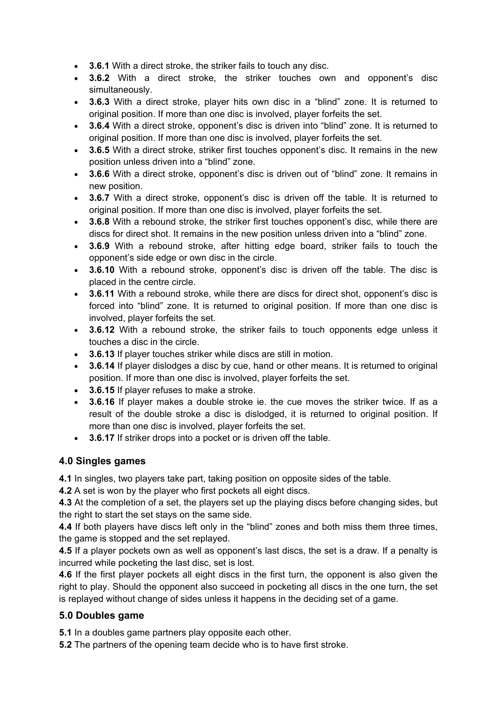- **3.6.1** With a direct stroke, the striker fails to touch any disc.
- **3.6.2** With a direct stroke, the striker touches own and opponent's disc simultaneously.
- **3.6.3** With a direct stroke, player hits own disc in a "blind" zone. It is returned to original position. If more than one disc is involved, player forfeits the set.
- **3.6.4** With a direct stroke, opponent's disc is driven into "blind" zone. It is returned to original position. If more than one disc is involved, player forfeits the set.
- **3.6.5** With a direct stroke, striker first touches opponent's disc. It remains in the new position unless driven into a "blind" zone.
- **3.6.6** With a direct stroke, opponent's disc is driven out of "blind" zone. It remains in new position.
- **3.6.7** With a direct stroke, opponent's disc is driven off the table. It is returned to original position. If more than one disc is involved, player forfeits the set.
- **3.6.8** With a rebound stroke, the striker first touches opponent's disc, while there are discs for direct shot. It remains in the new position unless driven into a "blind" zone.
- **3.6.9** With a rebound stroke, after hitting edge board, striker fails to touch the opponent's side edge or own disc in the circle.
- **3.6.10** With a rebound stroke, opponent's disc is driven off the table. The disc is placed in the centre circle.
- **3.6.11** With a rebound stroke, while there are discs for direct shot, opponent's disc is forced into "blind" zone. It is returned to original position. If more than one disc is involved, player forfeits the set.
- **3.6.12** With a rebound stroke, the striker fails to touch opponents edge unless it touches a disc in the circle.
- **3.6.13** If player touches striker while discs are still in motion.
- **3.6.14** If player dislodges a disc by cue, hand or other means. It is returned to original position. If more than one disc is involved, player forfeits the set.
- **3.6.15** If player refuses to make a stroke.
- **3.6.16** If player makes a double stroke ie. the cue moves the striker twice. If as a result of the double stroke a disc is dislodged, it is returned to original position. If more than one disc is involved, player forfeits the set.
- **3.6.17** If striker drops into a pocket or is driven off the table.

## **4.0 Singles games**

**4.1** In singles, two players take part, taking position on opposite sides of the table.

**4.2** A set is won by the player who first pockets all eight discs.

**4.3** At the completion of a set, the players set up the playing discs before changing sides, but the right to start the set stays on the same side.

**4.4** If both players have discs left only in the "blind" zones and both miss them three times, the game is stopped and the set replayed.

**4.5** If a player pockets own as well as opponent's last discs, the set is a draw. If a penalty is incurred while pocketing the last disc, set is lost.

**4.6** If the first player pockets all eight discs in the first turn, the opponent is also given the right to play. Should the opponent also succeed in pocketing all discs in the one turn, the set is replayed without change of sides unless it happens in the deciding set of a game.

## **5.0 Doubles game**

**5.1** In a doubles game partners play opposite each other.

**5.2** The partners of the opening team decide who is to have first stroke.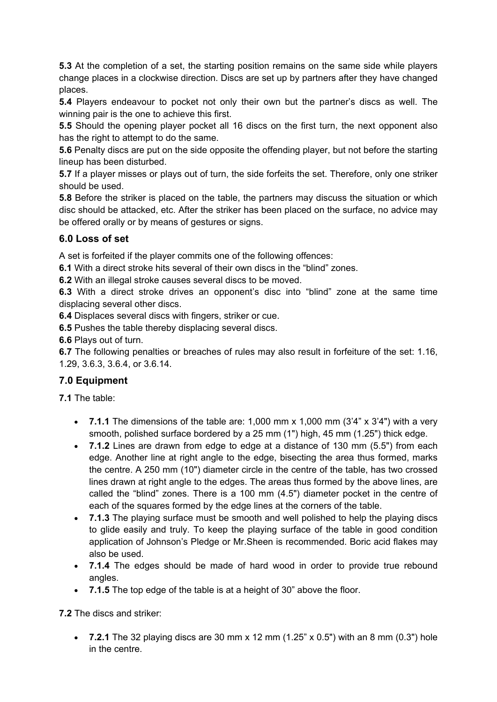**5.3** At the completion of a set, the starting position remains on the same side while players change places in a clockwise direction. Discs are set up by partners after they have changed places.

**5.4** Players endeavour to pocket not only their own but the partner's discs as well. The winning pair is the one to achieve this first.

**5.5** Should the opening player pocket all 16 discs on the first turn, the next opponent also has the right to attempt to do the same.

**5.6** Penalty discs are put on the side opposite the offending player, but not before the starting lineup has been disturbed.

**5.7** If a player misses or plays out of turn, the side forfeits the set. Therefore, only one striker should be used.

**5.8** Before the striker is placed on the table, the partners may discuss the situation or which disc should be attacked, etc. After the striker has been placed on the surface, no advice may be offered orally or by means of gestures or signs.

## **6.0 Loss of set**

A set is forfeited if the player commits one of the following offences:

**6.1** With a direct stroke hits several of their own discs in the "blind" zones.

**6.2** With an illegal stroke causes several discs to be moved.

**6.3** With a direct stroke drives an opponent's disc into "blind" zone at the same time displacing several other discs.

**6.4** Displaces several discs with fingers, striker or cue.

**6.5** Pushes the table thereby displacing several discs.

**6.6** Plays out of turn.

**6.7** The following penalties or breaches of rules may also result in forfeiture of the set: 1.16, 1.29, 3.6.3, 3.6.4, or 3.6.14.

#### **7.0 Equipment**

**7.1** The table:

- **7.1.1** The dimensions of the table are: 1,000 mm x 1,000 mm (3'4" x 3'4") with a very smooth, polished surface bordered by a 25 mm (1") high, 45 mm (1.25") thick edge.
- **7.1.2** Lines are drawn from edge to edge at a distance of 130 mm (5.5") from each edge. Another line at right angle to the edge, bisecting the area thus formed, marks the centre. A 250 mm (10") diameter circle in the centre of the table, has two crossed lines drawn at right angle to the edges. The areas thus formed by the above lines, are called the "blind" zones. There is a 100 mm (4.5") diameter pocket in the centre of each of the squares formed by the edge lines at the corners of the table.
- **7.1.3** The playing surface must be smooth and well polished to help the playing discs to glide easily and truly. To keep the playing surface of the table in good condition application of Johnson's Pledge or Mr.Sheen is recommended. Boric acid flakes may also be used.
- **7.1.4** The edges should be made of hard wood in order to provide true rebound angles.
- **7.1.5** The top edge of the table is at a height of 30" above the floor.

**7.2** The discs and striker:

• **7.2.1** The 32 playing discs are 30 mm x 12 mm (1.25" x 0.5") with an 8 mm (0.3") hole in the centre.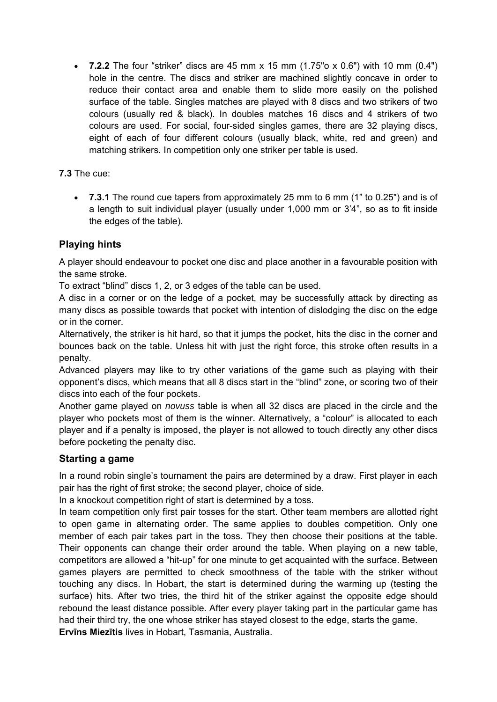• **7.2.2** The four "striker" discs are 45 mm x 15 mm (1.75"o x 0.6") with 10 mm (0.4") hole in the centre. The discs and striker are machined slightly concave in order to reduce their contact area and enable them to slide more easily on the polished surface of the table. Singles matches are played with 8 discs and two strikers of two colours (usually red & black). In doubles matches 16 discs and 4 strikers of two colours are used. For social, four-sided singles games, there are 32 playing discs, eight of each of four different colours (usually black, white, red and green) and matching strikers. In competition only one striker per table is used.

**7.3** The cue:

• **7.3.1** The round cue tapers from approximately 25 mm to 6 mm (1" to 0.25") and is of a length to suit individual player (usually under 1,000 mm or 3'4", so as to fit inside the edges of the table).

## **Playing hints**

A player should endeavour to pocket one disc and place another in a favourable position with the same stroke.

To extract "blind" discs 1, 2, or 3 edges of the table can be used.

A disc in a corner or on the ledge of a pocket, may be successfully attack by directing as many discs as possible towards that pocket with intention of dislodging the disc on the edge or in the corner.

Alternatively, the striker is hit hard, so that it jumps the pocket, hits the disc in the corner and bounces back on the table. Unless hit with just the right force, this stroke often results in a penalty.

Advanced players may like to try other variations of the game such as playing with their opponent's discs, which means that all 8 discs start in the "blind" zone, or scoring two of their discs into each of the four pockets.

Another game played on *novuss* table is when all 32 discs are placed in the circle and the player who pockets most of them is the winner. Alternatively, a "colour" is allocated to each player and if a penalty is imposed, the player is not allowed to touch directly any other discs before pocketing the penalty disc.

#### **Starting a game**

In a round robin single's tournament the pairs are determined by a draw. First player in each pair has the right of first stroke; the second player, choice of side.

In a knockout competition right of start is determined by a toss.

In team competition only first pair tosses for the start. Other team members are allotted right to open game in alternating order. The same applies to doubles competition. Only one member of each pair takes part in the toss. They then choose their positions at the table. Their opponents can change their order around the table. When playing on a new table, competitors are allowed a "hit-up" for one minute to get acquainted with the surface. Between games players are permitted to check smoothness of the table with the striker without touching any discs. In Hobart, the start is determined during the warming up (testing the surface) hits. After two tries, the third hit of the striker against the opposite edge should rebound the least distance possible. After every player taking part in the particular game has had their third try, the one whose striker has stayed closest to the edge, starts the game. **Ervīns Miezītis** lives in Hobart, Tasmania, Australia.